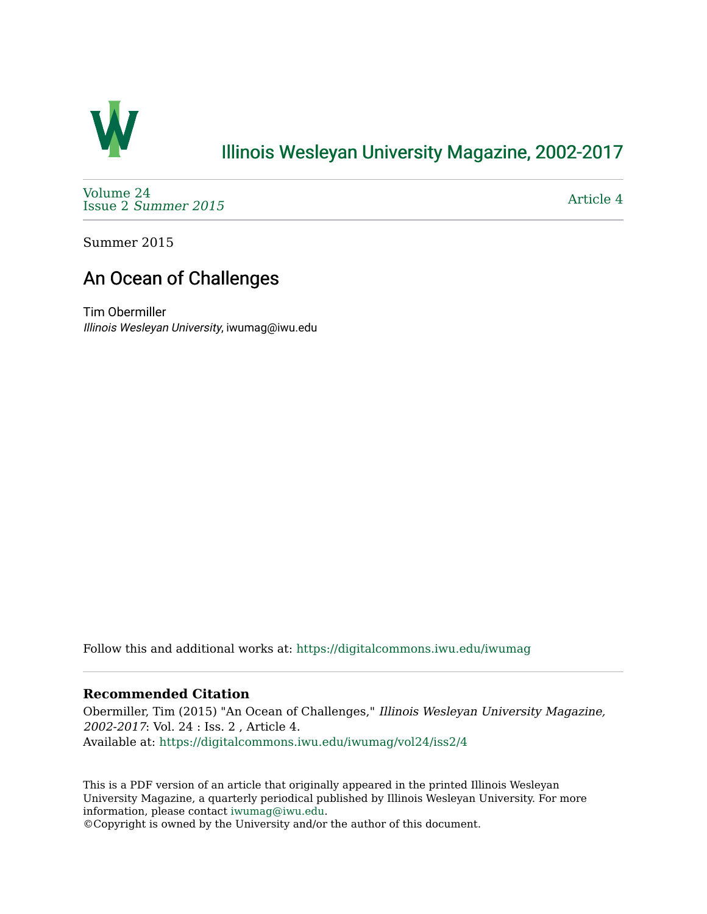

### [Illinois Wesleyan University Magazine, 2002-2017](https://digitalcommons.iwu.edu/iwumag)

[Volume 24](https://digitalcommons.iwu.edu/iwumag/vol24)  Issue 2 [Summer 2015](https://digitalcommons.iwu.edu/iwumag/vol24/iss2) 

[Article 4](https://digitalcommons.iwu.edu/iwumag/vol24/iss2/4) 

Summer 2015

## An Ocean of Challenges

Tim Obermiller Illinois Wesleyan University, iwumag@iwu.edu

Follow this and additional works at: [https://digitalcommons.iwu.edu/iwumag](https://digitalcommons.iwu.edu/iwumag?utm_source=digitalcommons.iwu.edu%2Fiwumag%2Fvol24%2Fiss2%2F4&utm_medium=PDF&utm_campaign=PDFCoverPages) 

#### **Recommended Citation**

Obermiller, Tim (2015) "An Ocean of Challenges," Illinois Wesleyan University Magazine, 2002-2017: Vol. 24 : Iss. 2 , Article 4. Available at: [https://digitalcommons.iwu.edu/iwumag/vol24/iss2/4](https://digitalcommons.iwu.edu/iwumag/vol24/iss2/4?utm_source=digitalcommons.iwu.edu%2Fiwumag%2Fvol24%2Fiss2%2F4&utm_medium=PDF&utm_campaign=PDFCoverPages)

This is a PDF version of an article that originally appeared in the printed Illinois Wesleyan University Magazine, a quarterly periodical published by Illinois Wesleyan University. For more information, please contact [iwumag@iwu.edu](mailto:iwumag@iwu.edu).

©Copyright is owned by the University and/or the author of this document.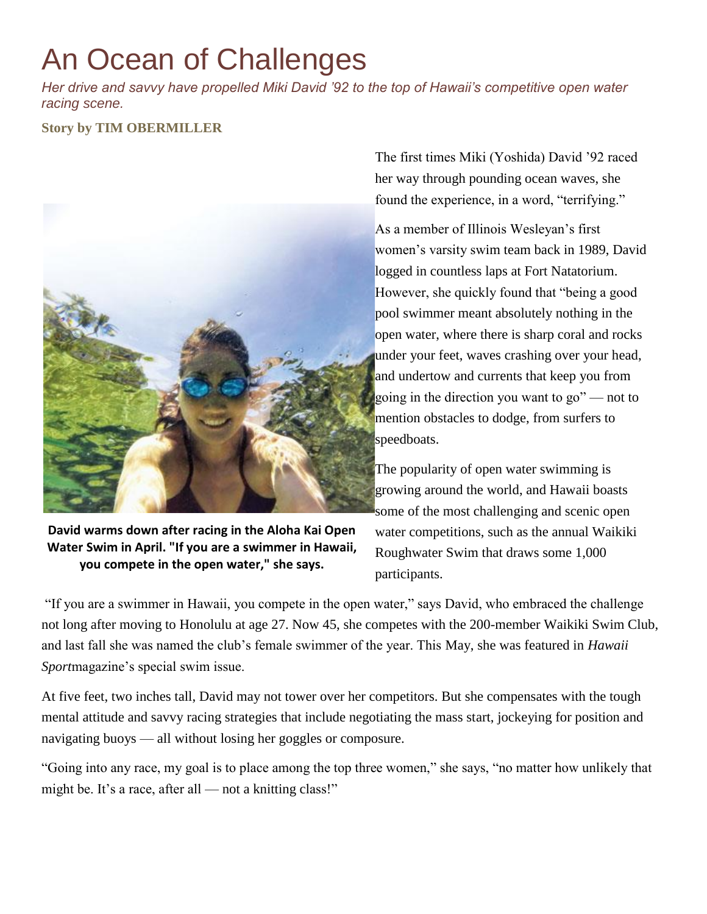# An Ocean of Challenges

*Her drive and savvy have propelled Miki David '92 to the top of Hawaii's competitive open water racing scene.*

#### **Story by TIM OBERMILLER**



**David warms down after racing in the Aloha Kai Open Water Swim in April. "If you are a swimmer in Hawaii, you compete in the open water," she says.**

The first times Miki (Yoshida) David '92 raced her way through pounding ocean waves, she found the experience, in a word, "terrifying."

As a member of Illinois Wesleyan's first women's varsity swim team back in 1989, David logged in countless laps at Fort Natatorium. However, she quickly found that "being a good pool swimmer meant absolutely nothing in the open water, where there is sharp coral and rocks under your feet, waves crashing over your head, and undertow and currents that keep you from going in the direction you want to go" — not to mention obstacles to dodge, from surfers to speedboats.

The popularity of open water swimming is growing around the world, and Hawaii boasts some of the most challenging and scenic open water competitions, such as the annual Waikiki Roughwater Swim that draws some 1,000 participants.

"If you are a swimmer in Hawaii, you compete in the open water," says David, who embraced the challenge not long after moving to Honolulu at age 27. Now 45, she competes with the 200-member Waikiki Swim Club, and last fall she was named the club's female swimmer of the year. This May, she was featured in *Hawaii Sport*magazine's special swim issue.

At five feet, two inches tall, David may not tower over her competitors. But she compensates with the tough mental attitude and savvy racing strategies that include negotiating the mass start, jockeying for position and navigating buoys — all without losing her goggles or composure.

"Going into any race, my goal is to place among the top three women," she says, "no matter how unlikely that might be. It's a race, after all — not a knitting class!"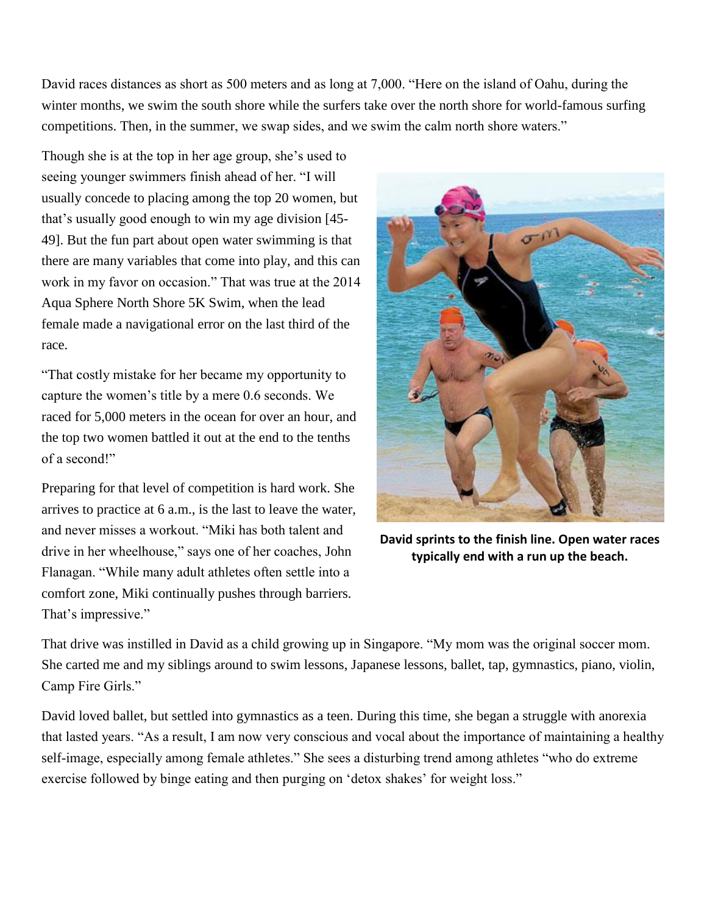David races distances as short as 500 meters and as long at 7,000. "Here on the island of Oahu, during the winter months, we swim the south shore while the surfers take over the north shore for world-famous surfing competitions. Then, in the summer, we swap sides, and we swim the calm north shore waters."

Though she is at the top in her age group, she's used to seeing younger swimmers finish ahead of her. "I will usually concede to placing among the top 20 women, but that's usually good enough to win my age division [45- 49]. But the fun part about open water swimming is that there are many variables that come into play, and this can work in my favor on occasion." That was true at the 2014 Aqua Sphere North Shore 5K Swim, when the lead female made a navigational error on the last third of the race.

"That costly mistake for her became my opportunity to capture the women's title by a mere 0.6 seconds. We raced for 5,000 meters in the ocean for over an hour, and the top two women battled it out at the end to the tenths of a second!"

Preparing for that level of competition is hard work. She arrives to practice at 6 a.m., is the last to leave the water, and never misses a workout. "Miki has both talent and drive in her wheelhouse," says one of her coaches, John Flanagan. "While many adult athletes often settle into a comfort zone, Miki continually pushes through barriers. That's impressive."



**David sprints to the finish line. Open water races typically end with a run up the beach.**

That drive was instilled in David as a child growing up in Singapore. "My mom was the original soccer mom. She carted me and my siblings around to swim lessons, Japanese lessons, ballet, tap, gymnastics, piano, violin, Camp Fire Girls."

David loved ballet, but settled into gymnastics as a teen. During this time, she began a struggle with anorexia that lasted years. "As a result, I am now very conscious and vocal about the importance of maintaining a healthy self-image, especially among female athletes." She sees a disturbing trend among athletes "who do extreme exercise followed by binge eating and then purging on 'detox shakes' for weight loss."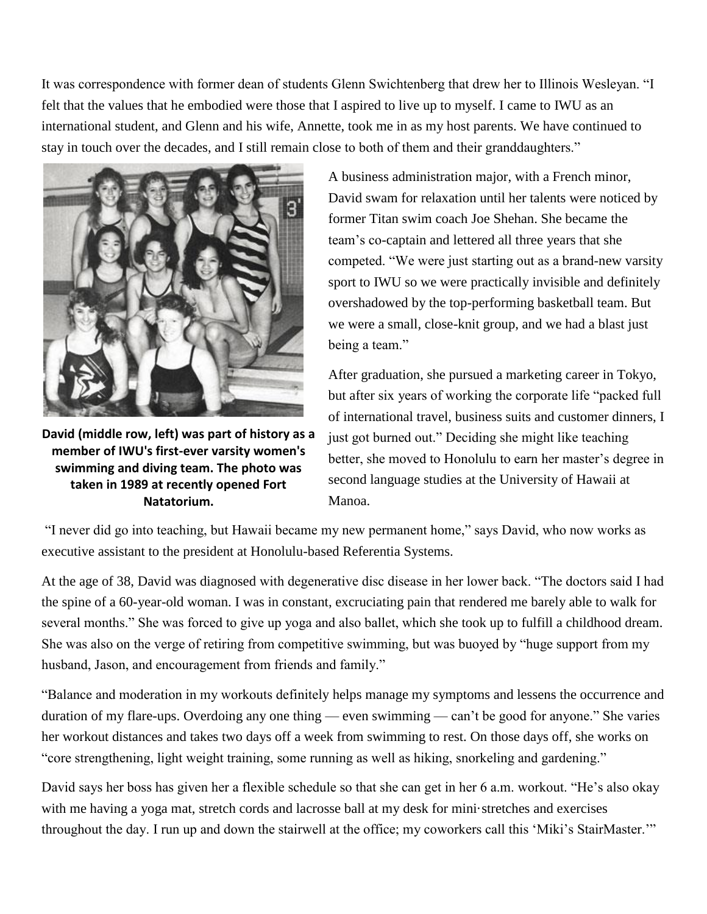It was correspondence with former dean of students Glenn Swichtenberg that drew her to Illinois Wesleyan. "I felt that the values that he embodied were those that I aspired to live up to myself. I came to IWU as an international student, and Glenn and his wife, Annette, took me in as my host parents. We have continued to stay in touch over the decades, and I still remain close to both of them and their granddaughters."



**David (middle row, left) was part of history as a member of IWU's first-ever varsity women's swimming and diving team. The photo was taken in 1989 at recently opened Fort Natatorium.**

A business administration major, with a French minor, David swam for relaxation until her talents were noticed by former Titan swim coach Joe Shehan. She became the team's co-captain and lettered all three years that she competed. "We were just starting out as a brand-new varsity sport to IWU so we were practically invisible and definitely overshadowed by the top-performing basketball team. But we were a small, close-knit group, and we had a blast just being a team."

After graduation, she pursued a marketing career in Tokyo, but after six years of working the corporate life "packed full of international travel, business suits and customer dinners, I just got burned out." Deciding she might like teaching better, she moved to Honolulu to earn her master's degree in second language studies at the University of Hawaii at Manoa.

"I never did go into teaching, but Hawaii became my new permanent home," says David, who now works as executive assistant to the president at Honolulu-based Referentia Systems.

At the age of 38, David was diagnosed with degenerative disc disease in her lower back. "The doctors said I had the spine of a 60-year-old woman. I was in constant, excruciating pain that rendered me barely able to walk for several months." She was forced to give up yoga and also ballet, which she took up to fulfill a childhood dream. She was also on the verge of retiring from competitive swimming, but was buoyed by "huge support from my husband, Jason, and encouragement from friends and family."

"Balance and moderation in my workouts definitely helps manage my symptoms and lessens the occurrence and duration of my flare-ups. Overdoing any one thing — even swimming — can't be good for anyone." She varies her workout distances and takes two days off a week from swimming to rest. On those days off, she works on "core strengthening, light weight training, some running as well as hiking, snorkeling and gardening."

David says her boss has given her a flexible schedule so that she can get in her 6 a.m. workout. "He's also okay with me having a yoga mat, stretch cords and lacrosse ball at my desk for mini·stretches and exercises throughout the day. I run up and down the stairwell at the office; my coworkers call this 'Miki's StairMaster.'"